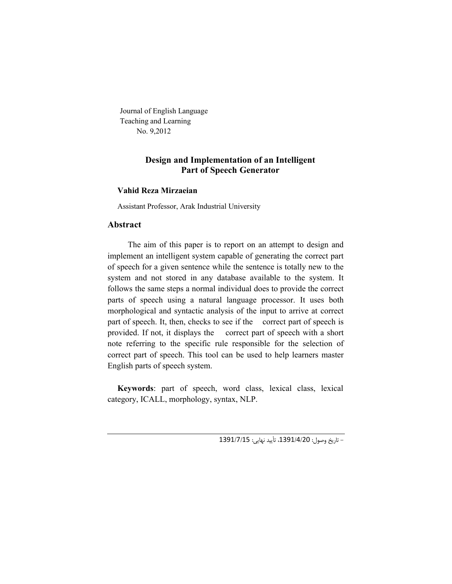Journal of English Language Teaching and Learning No. 9,2012

# **Design and Implementation of an Intelligent Part of Speech Generator**

# **Vahid Reza Mirzaeian**

Assistant Professor, Arak Industrial University

# **Abstract**

 The aim of this paper is to report on an attempt to design and implement an intelligent system capable of generating the correct part of speech for a given sentence while the sentence is totally new to the system and not stored in any database available to the system. It follows the same steps a normal individual does to provide the correct parts of speech using a natural language processor. It uses both morphological and syntactic analysis of the input to arrive at correct part of speech. It, then, checks to see if the correct part of speech is provided. If not, it displays the correct part of speech with a short note referring to the specific rule responsible for the selection of correct part of speech. This tool can be used to help learners master English parts of speech system.

**Keywords**: part of speech, word class, lexical class, lexical category, ICALL, morphology, syntax, NLP.

- تاریخ وصول: ،1391/4/20 تأیید نهایی: 1391/7/15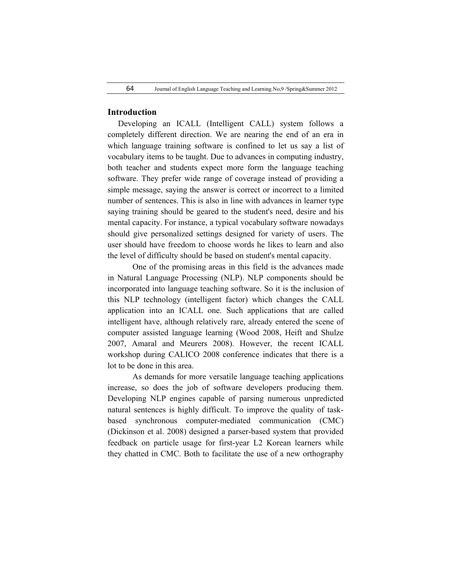### **Introduction**

 Developing an ICALL (Intelligent CALL) system follows a completely different direction. We are nearing the end of an era in which language training software is confined to let us say a list of vocabulary items to be taught. Due to advances in computing industry, both teacher and students expect more form the language teaching software. They prefer wide range of coverage instead of providing a simple message, saying the answer is correct or incorrect to a limited number of sentences. This is also in line with advances in learner type saying training should be geared to the student's need, desire and his mental capacity. For instance, a typical vocabulary software nowadays should give personalized settings designed for variety of users. The user should have freedom to choose words he likes to learn and also the level of difficulty should be based on student's mental capacity.

One of the promising areas in this field is the advances made in Natural Language Processing (NLP). NLP components should be incorporated into language teaching software. So it is the inclusion of this NLP technology (intelligent factor) which changes the CALL application into an ICALL one. Such applications that are called intelligent have, although relatively rare, already entered the scene of computer assisted language learning (Wood 2008, Heift and Shulze 2007, Amaral and Meurers 2008). However, the recent ICALL workshop during CALICO 2008 conference indicates that there is a lot to be done in this area.

As demands for more versatile language teaching applications increase, so does the job of software developers producing them. Developing NLP engines capable of parsing numerous unpredicted natural sentences is highly difficult. To improve the quality of taskbased synchronous computer-mediated communication (CMC) (Dickinson et al. 2008) designed a parser-based system that provided feedback on particle usage for first-year L2 Korean learners while they chatted in CMC. Both to facilitate the use of a new orthography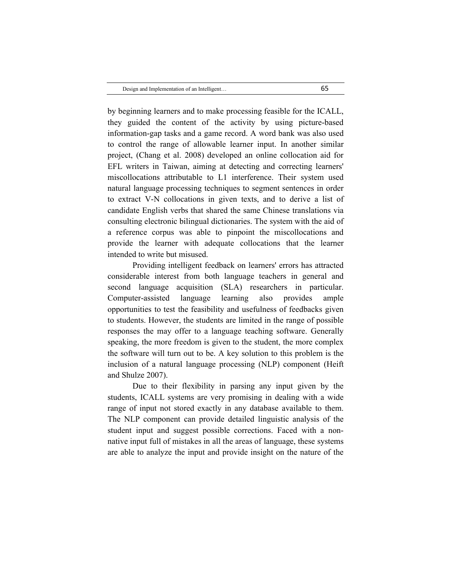by beginning learners and to make processing feasible for the ICALL, they guided the content of the activity by using picture-based information-gap tasks and a game record. A word bank was also used to control the range of allowable learner input. In another similar project, (Chang et al. 2008) developed an online collocation aid for EFL writers in Taiwan, aiming at detecting and correcting learners' miscollocations attributable to L1 interference. Their system used natural language processing techniques to segment sentences in order to extract V-N collocations in given texts, and to derive a list of candidate English verbs that shared the same Chinese translations via consulting electronic bilingual dictionaries. The system with the aid of a reference corpus was able to pinpoint the miscollocations and provide the learner with adequate collocations that the learner intended to write but misused.

Providing intelligent feedback on learners' errors has attracted considerable interest from both language teachers in general and second language acquisition (SLA) researchers in particular. Computer-assisted language learning also provides ample opportunities to test the feasibility and usefulness of feedbacks given to students. However, the students are limited in the range of possible responses the may offer to a language teaching software. Generally speaking, the more freedom is given to the student, the more complex the software will turn out to be. A key solution to this problem is the inclusion of a natural language processing (NLP) component (Heift and Shulze 2007).

Due to their flexibility in parsing any input given by the students, ICALL systems are very promising in dealing with a wide range of input not stored exactly in any database available to them. The NLP component can provide detailed linguistic analysis of the student input and suggest possible corrections. Faced with a nonnative input full of mistakes in all the areas of language, these systems are able to analyze the input and provide insight on the nature of the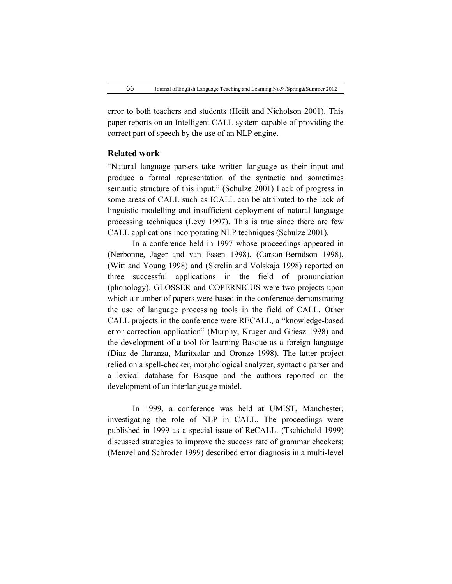error to both teachers and students (Heift and Nicholson 2001). This paper reports on an Intelligent CALL system capable of providing the correct part of speech by the use of an NLP engine.

## **Related work**

"Natural language parsers take written language as their input and produce a formal representation of the syntactic and sometimes semantic structure of this input." (Schulze 2001) Lack of progress in some areas of CALL such as ICALL can be attributed to the lack of linguistic modelling and insufficient deployment of natural language processing techniques (Levy 1997). This is true since there are few CALL applications incorporating NLP techniques (Schulze 2001).

In a conference held in 1997 whose proceedings appeared in (Nerbonne, Jager and van Essen 1998), (Carson-Berndson 1998), (Witt and Young 1998) and (Skrelin and Volskaja 1998) reported on three successful applications in the field of pronunciation (phonology). GLOSSER and COPERNICUS were two projects upon which a number of papers were based in the conference demonstrating the use of language processing tools in the field of CALL. Other CALL projects in the conference were RECALL, a "knowledge-based error correction application" (Murphy, Kruger and Griesz 1998) and the development of a tool for learning Basque as a foreign language (Diaz de Ilaranza, Maritxalar and Oronze 1998). The latter project relied on a spell-checker, morphological analyzer, syntactic parser and a lexical database for Basque and the authors reported on the development of an interlanguage model.

In 1999, a conference was held at UMIST, Manchester, investigating the role of NLP in CALL. The proceedings were published in 1999 as a special issue of ReCALL. (Tschichold 1999) discussed strategies to improve the success rate of grammar checkers; (Menzel and Schroder 1999) described error diagnosis in a multi-level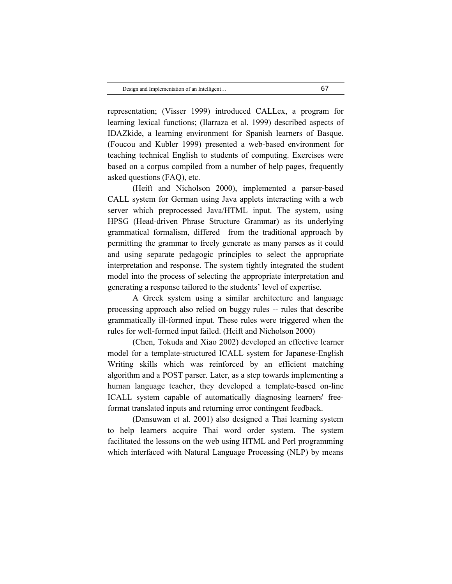representation; (Visser 1999) introduced CALLex, a program for learning lexical functions; (Ilarraza et al. 1999) described aspects of IDAZkide, a learning environment for Spanish learners of Basque. (Foucou and Kubler 1999) presented a web-based environment for teaching technical English to students of computing. Exercises were based on a corpus compiled from a number of help pages, frequently asked questions (FAQ), etc.

(Heift and Nicholson 2000), implemented a parser-based CALL system for German using Java applets interacting with a web server which preprocessed Java/HTML input. The system, using HPSG (Head-driven Phrase Structure Grammar) as its underlying grammatical formalism, differed from the traditional approach by permitting the grammar to freely generate as many parses as it could and using separate pedagogic principles to select the appropriate interpretation and response. The system tightly integrated the student model into the process of selecting the appropriate interpretation and generating a response tailored to the students' level of expertise.

A Greek system using a similar architecture and language processing approach also relied on buggy rules -- rules that describe grammatically ill-formed input. These rules were triggered when the rules for well-formed input failed. (Heift and Nicholson 2000)

(Chen, Tokuda and Xiao 2002) developed an effective learner model for a template-structured ICALL system for Japanese-English Writing skills which was reinforced by an efficient matching algorithm and a POST parser. Later, as a step towards implementing a human language teacher, they developed a template-based on-line ICALL system capable of automatically diagnosing learners' freeformat translated inputs and returning error contingent feedback.

(Dansuwan et al. 2001) also designed a Thai learning system to help learners acquire Thai word order system. The system facilitated the lessons on the web using HTML and Perl programming which interfaced with Natural Language Processing (NLP) by means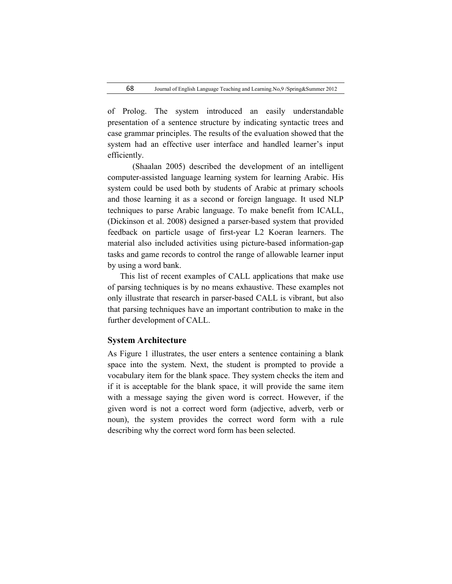of Prolog. The system introduced an easily understandable presentation of a sentence structure by indicating syntactic trees and case grammar principles. The results of the evaluation showed that the system had an effective user interface and handled learner's input efficiently.

(Shaalan 2005) described the development of an intelligent computer-assisted language learning system for learning Arabic. His system could be used both by students of Arabic at primary schools and those learning it as a second or foreign language. It used NLP techniques to parse Arabic language. To make benefit from ICALL, (Dickinson et al. 2008) designed a parser-based system that provided feedback on particle usage of first-year L2 Koeran learners. The material also included activities using picture-based information-gap tasks and game records to control the range of allowable learner input by using a word bank.

 This list of recent examples of CALL applications that make use of parsing techniques is by no means exhaustive. These examples not only illustrate that research in parser-based CALL is vibrant, but also that parsing techniques have an important contribution to make in the further development of CALL.

# **System Architecture**

As Figure 1 illustrates, the user enters a sentence containing a blank space into the system. Next, the student is prompted to provide a vocabulary item for the blank space. They system checks the item and if it is acceptable for the blank space, it will provide the same item with a message saying the given word is correct. However, if the given word is not a correct word form (adjective, adverb, verb or noun), the system provides the correct word form with a rule describing why the correct word form has been selected.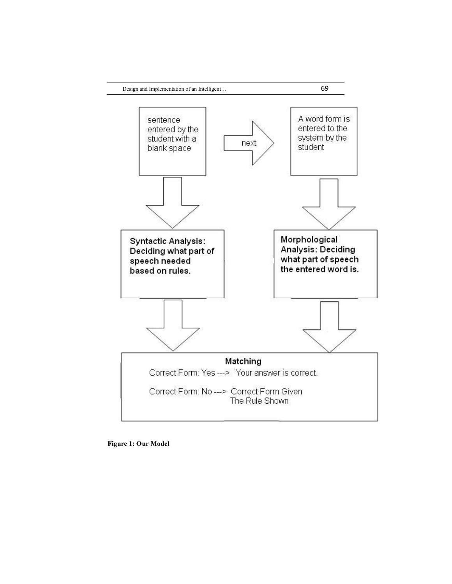

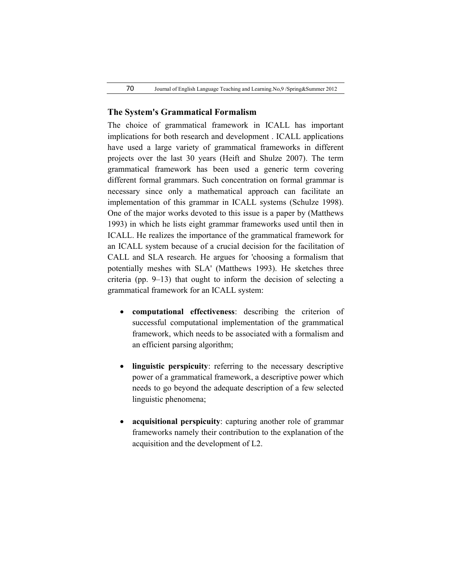# **The System's Grammatical Formalism**

The choice of grammatical framework in ICALL has important implications for both research and development . ICALL applications have used a large variety of grammatical frameworks in different projects over the last 30 years (Heift and Shulze 2007). The term grammatical framework has been used a generic term covering different formal grammars. Such concentration on formal grammar is necessary since only a mathematical approach can facilitate an implementation of this grammar in ICALL systems (Schulze 1998). One of the major works devoted to this issue is a paper by (Matthews 1993) in which he lists eight grammar frameworks used until then in ICALL. He realizes the importance of the grammatical framework for an ICALL system because of a crucial decision for the facilitation of CALL and SLA research. He argues for 'choosing a formalism that potentially meshes with SLA' (Matthews 1993). He sketches three criteria (pp. 9–13) that ought to inform the decision of selecting a grammatical framework for an ICALL system:

- **computational effectiveness**: describing the criterion of successful computational implementation of the grammatical framework, which needs to be associated with a formalism and an efficient parsing algorithm;
- **linguistic perspicuity**: referring to the necessary descriptive power of a grammatical framework, a descriptive power which needs to go beyond the adequate description of a few selected linguistic phenomena;
- **acquisitional perspicuity**: capturing another role of grammar frameworks namely their contribution to the explanation of the acquisition and the development of L2.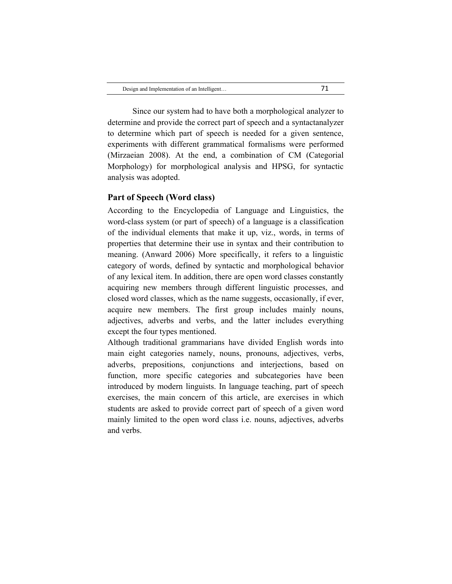Since our system had to have both a morphological analyzer to determine and provide the correct part of speech and a syntactanalyzer to determine which part of speech is needed for a given sentence, experiments with different grammatical formalisms were performed (Mirzaeian 2008). At the end, a combination of CM (Categorial Morphology) for morphological analysis and HPSG, for syntactic analysis was adopted.

## **Part of Speech (Word class)**

According to the Encyclopedia of Language and Linguistics, the word-class system (or part of speech) of a language is a classification of the individual elements that make it up, viz., words, in terms of properties that determine their use in syntax and their contribution to meaning. (Anward 2006) More specifically, it refers to a linguistic category of words, defined by syntactic and morphological behavior of any lexical item. In addition, there are open word classes constantly acquiring new members through different linguistic processes, and closed word classes, which as the name suggests, occasionally, if ever, acquire new members. The first group includes mainly nouns, adjectives, adverbs and verbs, and the latter includes everything except the four types mentioned.

Although traditional grammarians have divided English words into main eight categories namely, nouns, pronouns, adjectives, verbs, adverbs, prepositions, conjunctions and interjections, based on function, more specific categories and subcategories have been introduced by modern linguists. In language teaching, part of speech exercises, the main concern of this article, are exercises in which students are asked to provide correct part of speech of a given word mainly limited to the open word class i.e. nouns, adjectives, adverbs and verbs.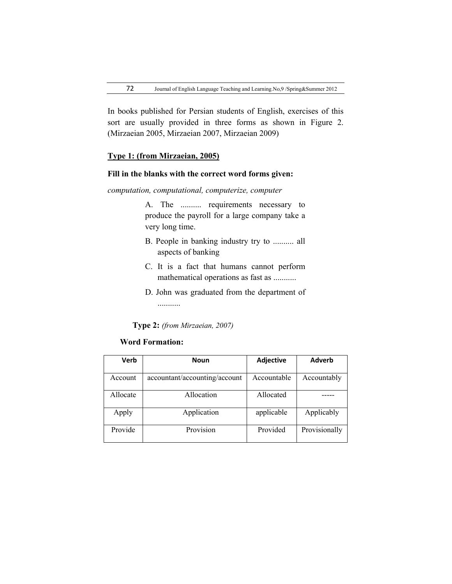In books published for Persian students of English, exercises of this sort are usually provided in three forms as shown in Figure 2. (Mirzaeian 2005, Mirzaeian 2007, Mirzaeian 2009)

## **Type 1: (from Mirzaeian, 2005)**

# **Fill in the blanks with the correct word forms given:**

## *computation, computational, computerize, computer*

A. The .......... requirements necessary to produce the payroll for a large company take a very long time.

- B. People in banking industry try to .......... all aspects of banking
- C. It is a fact that humans cannot perform mathematical operations as fast as ...........
- D. John was graduated from the department of ...........

**Type 2:** *(from Mirzaeian, 2007)*

## **Word Formation:**

| Verb     | <b>Noun</b>                   | Adjective   | <b>Adverb</b> |
|----------|-------------------------------|-------------|---------------|
| Account  | accountant/accounting/account | Accountable | Accountably   |
| Allocate | Allocation                    | Allocated   |               |
| Apply    | Application                   | applicable  | Applicably    |
| Provide  | Provision                     | Provided    | Provisionally |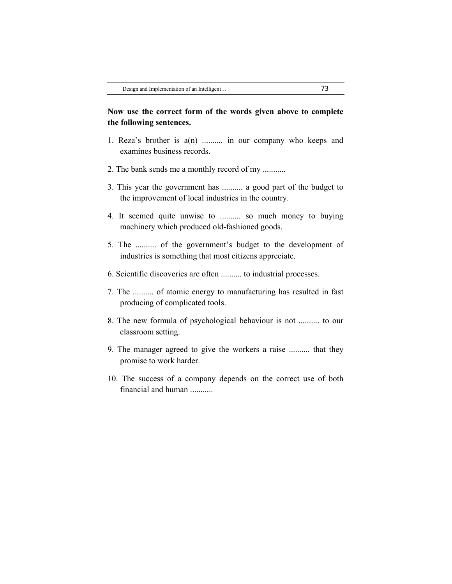# **Now use the correct form of the words given above to complete the following sentences.**

- 1. Reza's brother is a(n) .......... in our company who keeps and examines business records.
- 2. The bank sends me a monthly record of my ...........
- 3. This year the government has .......... a good part of the budget to the improvement of local industries in the country.
- 4. It seemed quite unwise to .......... so much money to buying machinery which produced old-fashioned goods.
- 5. The .......... of the government's budget to the development of industries is something that most citizens appreciate.
- 6. Scientific discoveries are often .......... to industrial processes.
- 7. The .......... of atomic energy to manufacturing has resulted in fast producing of complicated tools.
- 8. The new formula of psychological behaviour is not .......... to our classroom setting.
- 9. The manager agreed to give the workers a raise .......... that they promise to work harder.
- 10. The success of a company depends on the correct use of both financial and human ...........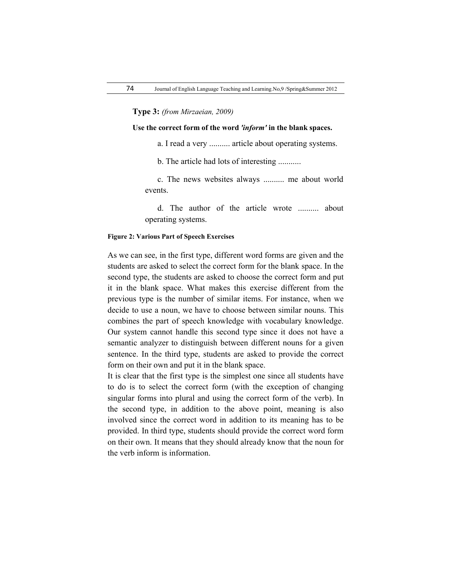**Type 3:** *(from Mirzaeian, 2009)*

**Use the correct form of the word** *'inform'* **in the blank spaces.**

a. I read a very .......... article about operating systems.

b. The article had lots of interesting ...........

c. The news websites always .......... me about world events.

d. The author of the article wrote .......... about operating systems.

#### **Figure 2: Various Part of Speech Exercises**

As we can see, in the first type, different word forms are given and the students are asked to select the correct form for the blank space. In the second type, the students are asked to choose the correct form and put it in the blank space. What makes this exercise different from the previous type is the number of similar items. For instance, when we decide to use a noun, we have to choose between similar nouns. This combines the part of speech knowledge with vocabulary knowledge. Our system cannot handle this second type since it does not have a semantic analyzer to distinguish between different nouns for a given sentence. In the third type, students are asked to provide the correct form on their own and put it in the blank space.

It is clear that the first type is the simplest one since all students have to do is to select the correct form (with the exception of changing singular forms into plural and using the correct form of the verb). In the second type, in addition to the above point, meaning is also involved since the correct word in addition to its meaning has to be provided. In third type, students should provide the correct word form on their own. It means that they should already know that the noun for the verb inform is information.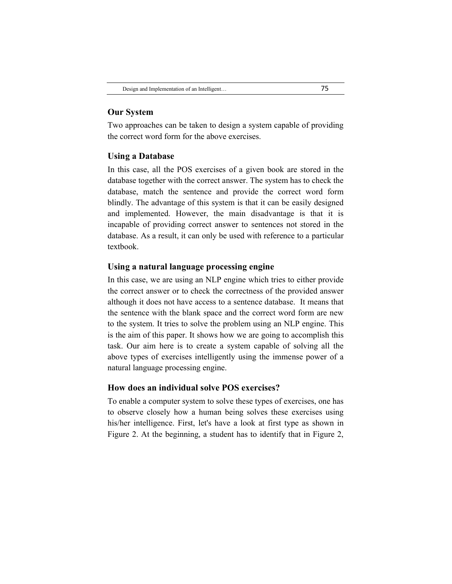## **Our System**

Two approaches can be taken to design a system capable of providing the correct word form for the above exercises.

### **Using a Database**

In this case, all the POS exercises of a given book are stored in the database together with the correct answer. The system has to check the database, match the sentence and provide the correct word form blindly. The advantage of this system is that it can be easily designed and implemented. However, the main disadvantage is that it is incapable of providing correct answer to sentences not stored in the database. As a result, it can only be used with reference to a particular textbook.

## **Using a natural language processing engine**

In this case, we are using an NLP engine which tries to either provide the correct answer or to check the correctness of the provided answer although it does not have access to a sentence database. It means that the sentence with the blank space and the correct word form are new to the system. It tries to solve the problem using an NLP engine. This is the aim of this paper. It shows how we are going to accomplish this task. Our aim here is to create a system capable of solving all the above types of exercises intelligently using the immense power of a natural language processing engine.

## **How does an individual solve POS exercises?**

To enable a computer system to solve these types of exercises, one has to observe closely how a human being solves these exercises using his/her intelligence. First, let's have a look at first type as shown in Figure 2. At the beginning, a student has to identify that in Figure 2,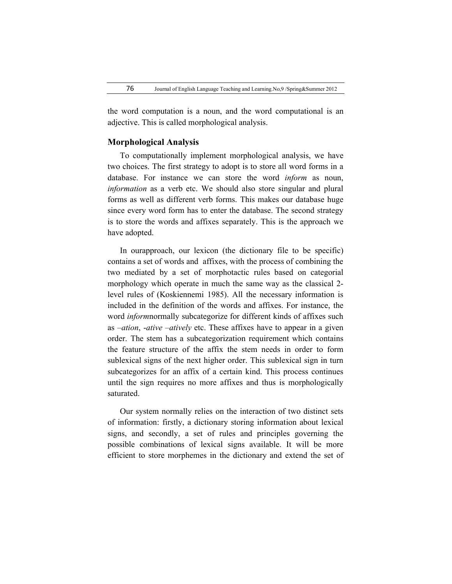the word computation is a noun, and the word computational is an adjective. This is called morphological analysis.

## **Morphological Analysis**

To computationally implement morphological analysis, we have two choices. The first strategy to adopt is to store all word forms in a database. For instance we can store the word *inform* as noun, *information* as a verb etc. We should also store singular and plural forms as well as different verb forms. This makes our database huge since every word form has to enter the database. The second strategy is to store the words and affixes separately. This is the approach we have adopted.

In ourapproach, our lexicon (the dictionary file to be specific) contains a set of words and affixes, with the process of combining the two mediated by a set of morphotactic rules based on categorial morphology which operate in much the same way as the classical 2 level rules of (Koskiennemi 1985). All the necessary information is included in the definition of the words and affixes. For instance, the word *inform*normally subcategorize for different kinds of affixes such as –*ation*, -*ative* –*atively* etc. These affixes have to appear in a given order. The stem has a subcategorization requirement which contains the feature structure of the affix the stem needs in order to form sublexical signs of the next higher order. This sublexical sign in turn subcategorizes for an affix of a certain kind. This process continues until the sign requires no more affixes and thus is morphologically saturated.

Our system normally relies on the interaction of two distinct sets of information: firstly, a dictionary storing information about lexical signs, and secondly, a set of rules and principles governing the possible combinations of lexical signs available. It will be more efficient to store morphemes in the dictionary and extend the set of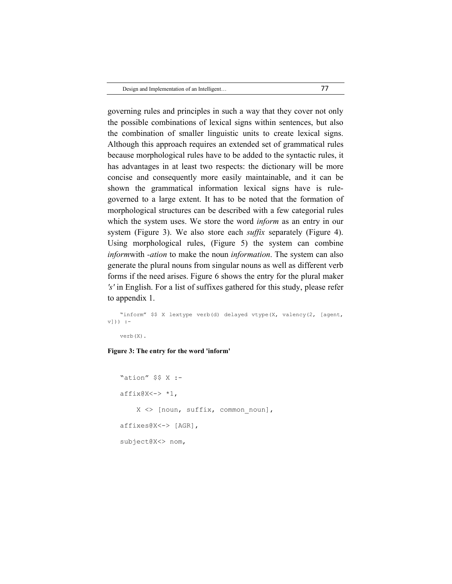| Design and Implementation of an Intelligent |  |
|---------------------------------------------|--|
|                                             |  |

governing rules and principles in such a way that they cover not only the possible combinations of lexical signs within sentences, but also the combination of smaller linguistic units to create lexical signs. Although this approach requires an extended set of grammatical rules because morphological rules have to be added to the syntactic rules, it has advantages in at least two respects: the dictionary will be more concise and consequently more easily maintainable, and it can be shown the grammatical information lexical signs have is rulegoverned to a large extent. It has to be noted that the formation of morphological structures can be described with a few categorial rules which the system uses. We store the word *inform* as an entry in our system (Figure 3). We also store each *suffix* separately (Figure 4). Using morphological rules, (Figure 5) the system can combine *inform*with *-ation* to make the noun *information*. The system can also generate the plural nouns from singular nouns as well as different verb forms if the need arises. Figure 6 shows the entry for the plural maker *'s'* in English. For a list of suffixes gathered for this study, please refer to appendix 1.

```
"inform" $$ X lextype verb(d) delayed vtype(X, valency(2, [agent,
v)) :-
```
verb(X).

#### **Figure 3: The entry for the word 'inform'**

```
"ation" $$ X :-
affix@X<-> *1,
    X \leq [noun, suffix, common noun],
affixes@X<-> [AGR],
subject@X<> nom,
```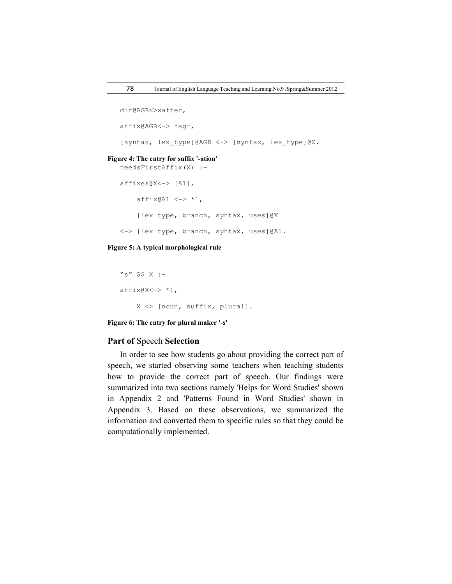```
dir@AGR<>xafter,
   affix@AGR<-> *agr,
   [syntax, lex_type]@AGR <-> [syntax, lex_type]@X.
Figure 4: The entry for suffix '-ation'
   needsFirstAffix(X) :-
   affixes@X<-> [A1],
       affix@A1 \leq -\rangle *1,[lex_type, branch, syntax, uses]@X
   <-> [lex_type, branch, syntax, uses]@A1.
```
### **Figure 5: A typical morphological rule**

```
"s" $$ X :-
affix@X<-> *1,
     X <> [noun, suffix, plural].
```
**Figure 6: The entry for plural maker '-s'**

## **Part of** Speech **Selection**

In order to see how students go about providing the correct part of speech, we started observing some teachers when teaching students how to provide the correct part of speech. Our findings were summarized into two sections namely 'Helps for Word Studies' shown in Appendix 2 and 'Patterns Found in Word Studies' shown in Appendix 3. Based on these observations, we summarized the information and converted them to specific rules so that they could be computationally implemented.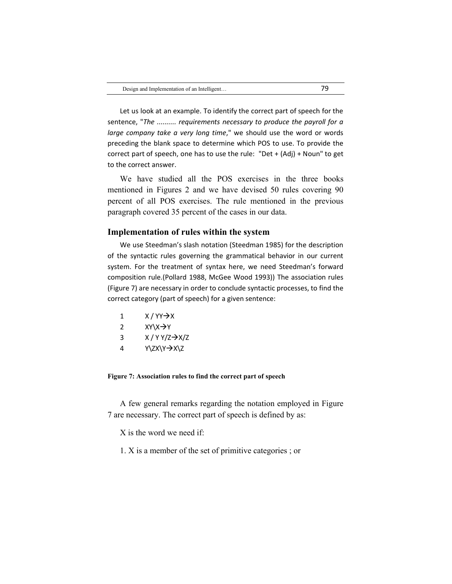Let us look at an example. To identify the correct part of speech for the sentence, "*The .......... requirements necessary to produce the payroll for a large company take a very long time*," we should use the word or words preceding the blank space to determine which POS to use. To provide the correct part of speech, one has to use the rule: "Det + (Adj) + Noun" to get to the correct answer.

We have studied all the POS exercises in the three books mentioned in Figures 2 and we have devised 50 rules covering 90 percent of all POS exercises. The rule mentioned in the previous paragraph covered 35 percent of the cases in our data.

## **Implementation of rules within the system**

We use Steedman's slash notation (Steedman 1985) for the description of the syntactic rules governing the grammatical behavior in our current system. For the treatment of syntax here, we need Steedman's forward composition rule.(Pollard 1988, McGee Wood 1993)) The association rules (Figure 7) are necessary in order to conclude syntactic processes, to find the correct category (part of speech) for a given sentence:

 $X / YY \rightarrow X$  $XY\vee X^2$  $X/YY/Z \rightarrow X/Z$  $Y\ZX\Y \rightarrow X\Z$ 

#### **Figure 7: Association rules to find the correct part of speech**

A few general remarks regarding the notation employed in Figure 7 are necessary. The correct part of speech is defined by as:

X is the word we need if:

1. X is a member of the set of primitive categories ; or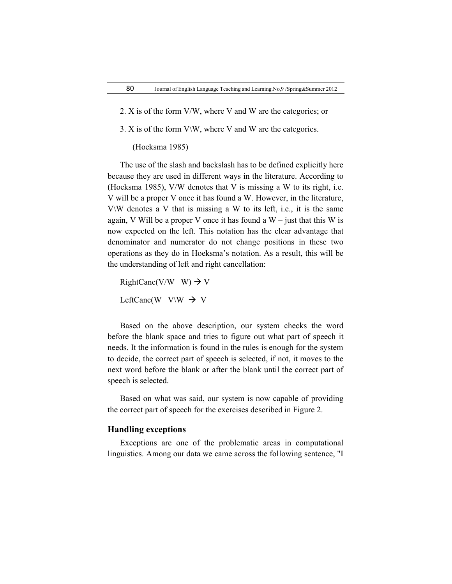- 2. X is of the form V/W, where V and W are the categories; or
- 3. X is of the form  $V\W$ , where V and W are the categories.

(Hoeksma 1985)

The use of the slash and backslash has to be defined explicitly here because they are used in different ways in the literature. According to (Hoeksma 1985), V/W denotes that V is missing a W to its right, i.e. V will be a proper V once it has found a W. However, in the literature, V\W denotes a V that is missing a W to its left, i.e., it is the same again, V Will be a proper V once it has found a  $W$  – just that this W is now expected on the left. This notation has the clear advantage that denominator and numerator do not change positions in these two operations as they do in Hoeksma's notation. As a result, this will be the understanding of left and right cancellation:

RightCanc(V/W W)  $\rightarrow$  V LeftCanc(W V\W  $\rightarrow$  V

Based on the above description, our system checks the word before the blank space and tries to figure out what part of speech it needs. It the information is found in the rules is enough for the system to decide, the correct part of speech is selected, if not, it moves to the next word before the blank or after the blank until the correct part of speech is selected.

Based on what was said, our system is now capable of providing the correct part of speech for the exercises described in Figure 2.

# **Handling exceptions**

Exceptions are one of the problematic areas in computational linguistics. Among our data we came across the following sentence, "I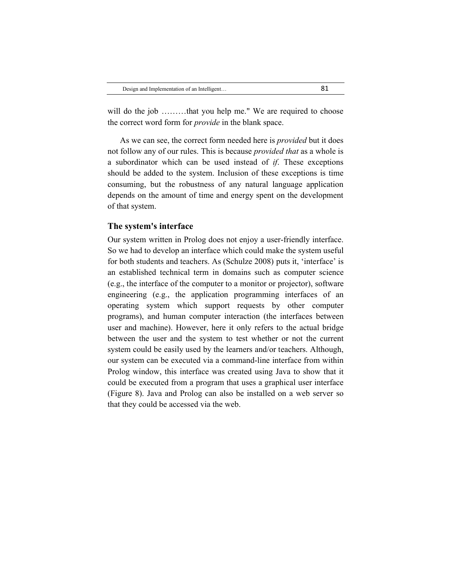will do the job ………that you help me." We are required to choose the correct word form for *provide* in the blank space.

As we can see, the correct form needed here is *provided* but it does not follow any of our rules. This is because *provided that* as a whole is a subordinator which can be used instead of *if*. These exceptions should be added to the system. Inclusion of these exceptions is time consuming, but the robustness of any natural language application depends on the amount of time and energy spent on the development of that system.

#### **The system's interface**

Our system written in Prolog does not enjoy a user-friendly interface. So we had to develop an interface which could make the system useful for both students and teachers. As (Schulze 2008) puts it, 'interface' is an established technical term in domains such as computer science (e.g., the interface of the computer to a monitor or projector), software engineering (e.g., the application programming interfaces of an operating system which support requests by other computer programs), and human computer interaction (the interfaces between user and machine). However, here it only refers to the actual bridge between the user and the system to test whether or not the current system could be easily used by the learners and/or teachers. Although, our system can be executed via a command-line interface from within Prolog window, this interface was created using Java to show that it could be executed from a program that uses a graphical user interface (Figure 8). Java and Prolog can also be installed on a web server so that they could be accessed via the web.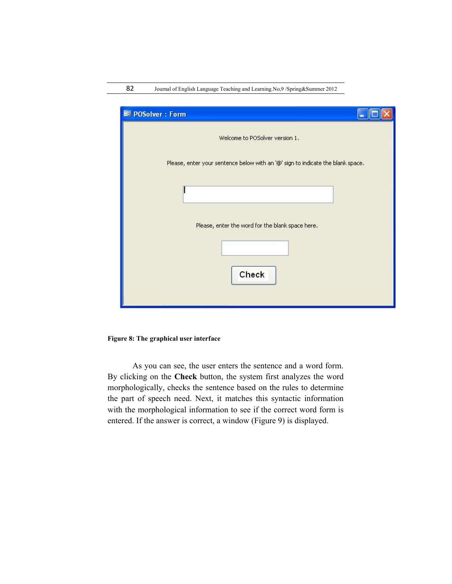| <b>EE POSolver: Form</b>                                                        |  |
|---------------------------------------------------------------------------------|--|
| Welcome to POSolver version 1.                                                  |  |
| Please, enter your sentence below with an '@' sign to indicate the blank space. |  |
|                                                                                 |  |
|                                                                                 |  |
| Please, enter the word for the blank space here.                                |  |
|                                                                                 |  |
| Check                                                                           |  |
|                                                                                 |  |

## **Figure 8: The graphical user interface**

As you can see, the user enters the sentence and a word form. By clicking on the **Check** button, the system first analyzes the word morphologically, checks the sentence based on the rules to determine the part of speech need. Next, it matches this syntactic information with the morphological information to see if the correct word form is entered. If the answer is correct, a window (Figure 9) is displayed.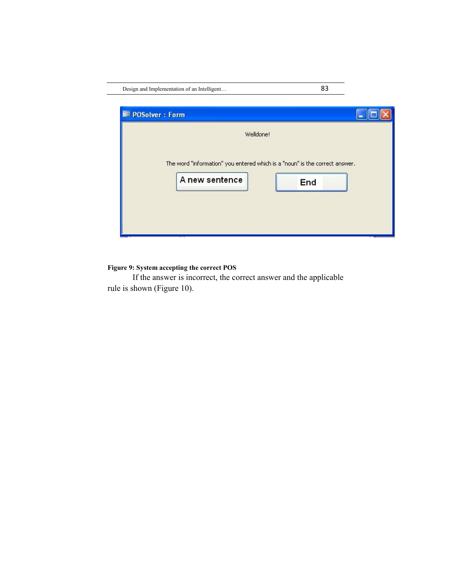| Design and Implementation of an Intelligent |           | 83                                                                                 |  |
|---------------------------------------------|-----------|------------------------------------------------------------------------------------|--|
| <b>EE POSolver: Form</b>                    |           |                                                                                    |  |
|                                             | Welldone! |                                                                                    |  |
| A new sentence                              |           | The word "information" you entered which is a "noun" is the correct answer.<br>End |  |

# **Figure 9: System accepting the correct POS**

If the answer is incorrect, the correct answer and the applicable rule is shown (Figure 10).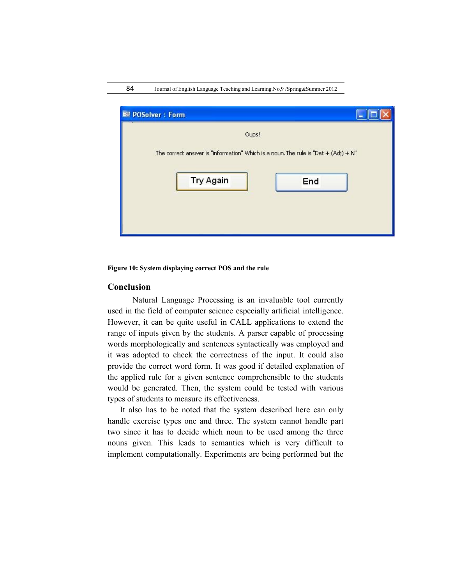| <b>EE POSolver: Form</b>                                                                                            |     |
|---------------------------------------------------------------------------------------------------------------------|-----|
| Oups!<br>The correct answer is "information" Which is a noun. The rule is "Det $+$ (Adj) $+$ N"<br><b>Try Again</b> | End |
|                                                                                                                     |     |

#### **Figure 10: System displaying correct POS and the rule**

## **Conclusion**

Natural Language Processing is an invaluable tool currently used in the field of computer science especially artificial intelligence. However, it can be quite useful in CALL applications to extend the range of inputs given by the students. A parser capable of processing words morphologically and sentences syntactically was employed and it was adopted to check the correctness of the input. It could also provide the correct word form. It was good if detailed explanation of the applied rule for a given sentence comprehensible to the students would be generated. Then, the system could be tested with various types of students to measure its effectiveness.

It also has to be noted that the system described here can only handle exercise types one and three. The system cannot handle part two since it has to decide which noun to be used among the three nouns given. This leads to semantics which is very difficult to implement computationally. Experiments are being performed but the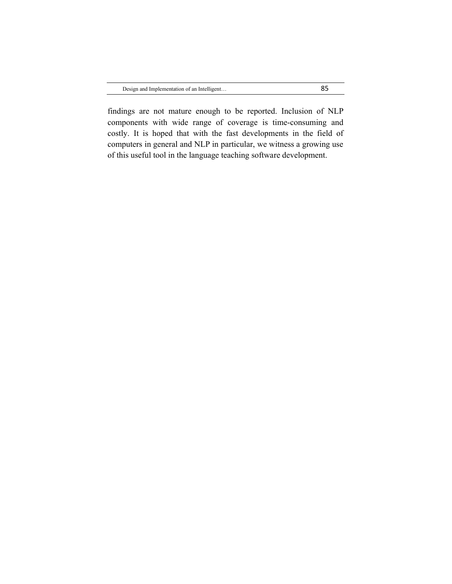findings are not mature enough to be reported. Inclusion of NLP components with wide range of coverage is time-consuming and costly. It is hoped that with the fast developments in the field of computers in general and NLP in particular, we witness a growing use of this useful tool in the language teaching software development.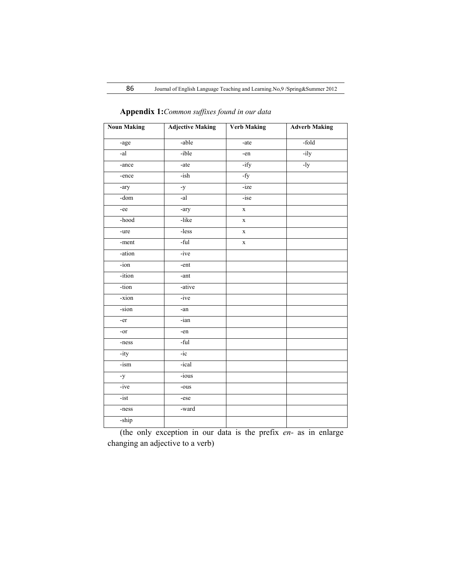| <b>Noun Making</b> | <b>Adjective Making</b> | <b>Verb Making</b> | <b>Adverb Making</b> |
|--------------------|-------------------------|--------------------|----------------------|
| -age               | -able                   | $-ate$             | -fold                |
| $-al$              | -ible                   | -en                | $-ily$               |
| -ance              | -ate                    | $-ify$             | $-1y$                |
| -ence              | $-ish$                  | $-fy$              |                      |
| -ary               | $-y$                    | -ize               |                      |
| $-dom$             | $-al$                   | -ise               |                      |
| -ee                | -ary                    | $\mathbf X$        |                      |
| -hood              | -like                   | $\mathbf X$        |                      |
| -ure               | -less                   | $\mathbf X$        |                      |
| -ment              | -ful                    | $\mathbf X$        |                      |
| -ation             | $-ive$                  |                    |                      |
| $-i$ on            | -ent                    |                    |                      |
| -ition             | -ant $\,$               |                    |                      |
| -tion              | -ative                  |                    |                      |
| -xion              | $-ive$                  |                    |                      |
| -sion              | -an                     |                    |                      |
| -er                | -ian                    |                    |                      |
| -or                | -en                     |                    |                      |
| -ness              | -ful                    |                    |                      |
| $-ity$             | $-ic$                   |                    |                      |
| $-ism$             | -ical                   |                    |                      |
| $-y$               | $-ious$                 |                    |                      |
| $-ive$             | -ous                    |                    |                      |
| $-ist$             | -ese                    |                    |                      |
| -ness              | -ward                   |                    |                      |
| -ship              |                         |                    |                      |

**Appendix 1:***Common suffixes found in our data*

(the only exception in our data is the prefix *en-* as in enlarge changing an adjective to a verb)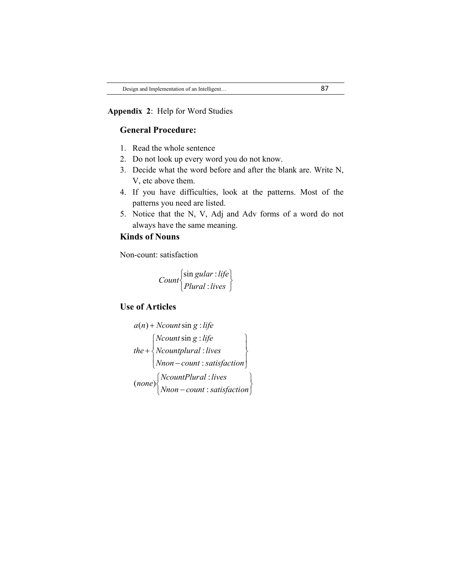## **Appendix 2**: Help for Word Studies

# **General Procedure:**

- 1. Read the whole sentence
- 2. Do not look up every word you do not know.
- 3. Decide what the word before and after the blank are. Write N, V, etc above them.
- 4. If you have difficulties, look at the patterns. Most of the patterns you need are listed.
- 5. Notice that the N, V, Adj and Adv forms of a word do not always have the same meaning.

# **Kinds of Nouns**

Non-count: satisfaction

$$
Count\begin{cases} \sin gular : life \\ Plural : lives \end{cases}
$$

# **Use of Articles**

$$
a(n) + Ncount \sin g : life
$$
\n
$$
the + \begin{cases} Ncount \sin g : life \\ Ncount plural : lives \\ Nnon - count : satisfaction \end{cases}
$$
\n
$$
(none) \begin{cases} NcountPlural : lives \\ Nnon - count : satisfaction \end{cases}
$$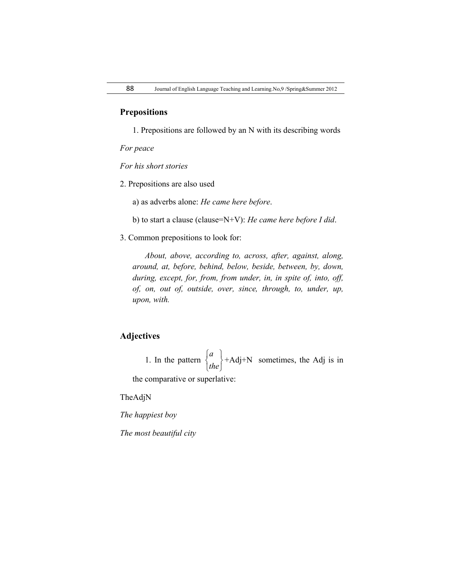## **Prepositions**

1. Prepositions are followed by an N with its describing words

*For peace*

*For his short stories*

2. Prepositions are also used

a) as adverbs alone: *He came here before*.

b) to start a clause (clause=N+V): *He came here before I did*.

3. Common prepositions to look for:

*About, above, according to, across, after, against, along, around, at, before, behind, below, beside, between, by, down, during, except, for, from, from under, in, in spite of, into, off, of, on, out of, outside, over, since, through, to, under, up, upon, with.*

# **Adjectives**

1. In the pattern J  $\left\{ \right\}$  $\mathbf{I}$  $\overline{\mathfrak{l}}$ ⇃  $\left\lceil \right\rceil$ *the a* +Adj+N sometimes, the Adj is in

the comparative or superlative:

TheAdjN

*The happiest boy*

*The most beautiful city*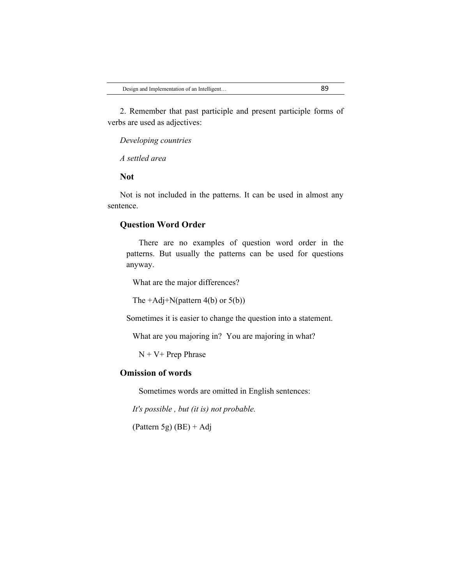2. Remember that past participle and present participle forms of verbs are used as adjectives:

*Developing countries*

*A settled area*

#### **Not**

Not is not included in the patterns. It can be used in almost any sentence.

## **Question Word Order**

There are no examples of question word order in the patterns. But usually the patterns can be used for questions anyway.

What are the major differences?

The  $+Adi+N(pattern 4(b)$  or  $5(b))$ 

Sometimes it is easier to change the question into a statement.

What are you majoring in? You are majoring in what?

 $N + V +$  Prep Phrase

## **Omission of words**

Sometimes words are omitted in English sentences:

*It's possible , but (it is) not probable.*

(Pattern 5g)  $(BE) + Adj$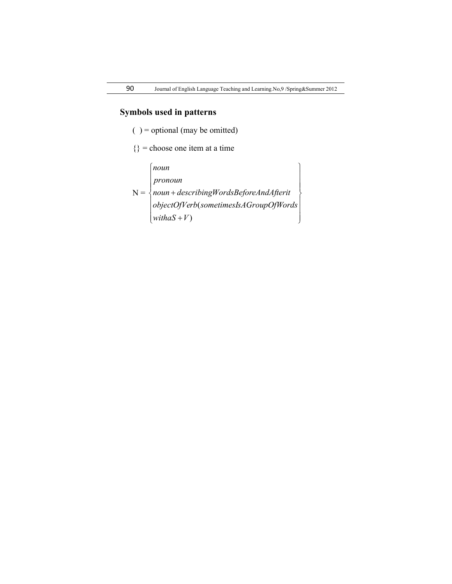# **Symbols used in patterns**

 $( )$  = optional (may be omitted)

 $\{\}$  = choose one item at a time

 $N = \begin{cases}$  $\mathbf{I}$  $\overline{\phantom{a}}$  $\overline{ }$ J  $\overline{ }$  $\mathbf{I}$  $\left| \right|$  $\left\{ \right.$  $\begin{matrix} \end{matrix}$  $\mathbf{I}$  $\overline{ }$  ( *objectOfVerb sometimesIsAGroupOfWords*  $\left(\text{with}\,aS + V\right)$  $\mathbf{I}$  *pronoun noun describingWordsBeforeAndAfterit noun*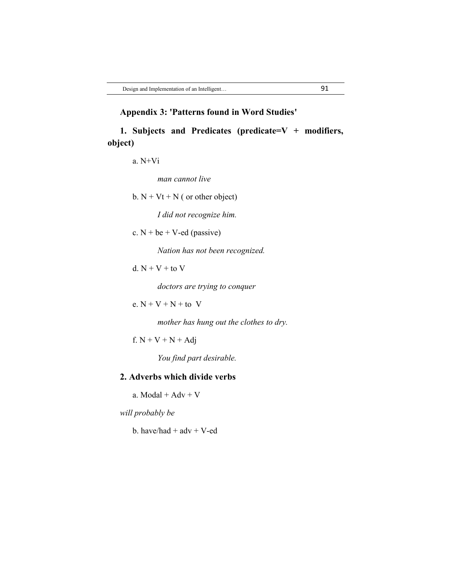# **Appendix 3: 'Patterns found in Word Studies'**

**1. Subjects and Predicates (predicate=V + modifiers, object)**

a. N+Vi

*man cannot live*

b.  $N + Vt + N$  ( or other object)

*I did not recognize him.*

c.  $N + be + V - ed$  (passive)

*Nation has not been recognized.*

d.  $N + V +$  to  $V$ 

*doctors are trying to conquer*

e.  $N + V + N +$  to V

*mother has hung out the clothes to dry.*

f.  $N + V + N + Adj$ 

*You find part desirable.*

# **2. Adverbs which divide verbs**

a.  $Modal + Adv + V$ 

*will probably be*

b. have/had  $+$  adv  $+$  V-ed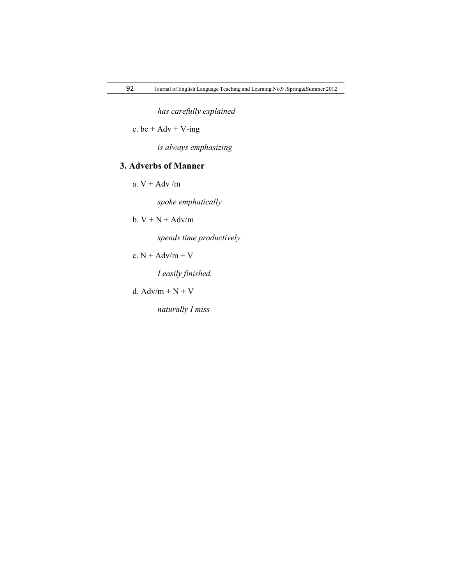*has carefully explained*

c. be  $+$  Adv  $+$  V-ing

*is always emphasizing*

# **3. Adverbs of Manner**

a.  $V + Adv / m$ 

*spoke emphatically*

b.  $V + N + A dv/m$ 

*spends time productively*

c.  $N + Adv/m + V$ 

*I easily finished.*

d.  $Adv/m + N + V$ 

*naturally I miss*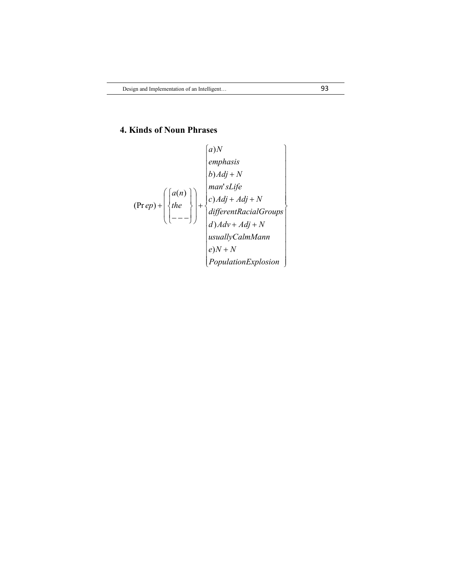# **4. Kinds of Noun Phrases**

$$
(Prep) + \begin{pmatrix} a)N \\emphasis \\ b)Adj + N \\ the \\ (Prep) + \begin{pmatrix} a(n) \\ the \\ - \\ - \\ - \\ \end{pmatrix} + \begin{pmatrix} a(n) \\ b)Adj + Adj + N \\ c)Adj + Adj + N \\ differentRacial Groups \\ d)Adv + Adj + N \\ usuallyCalmMann \\ e)N + N \\ PopulationExplosion \end{pmatrix}
$$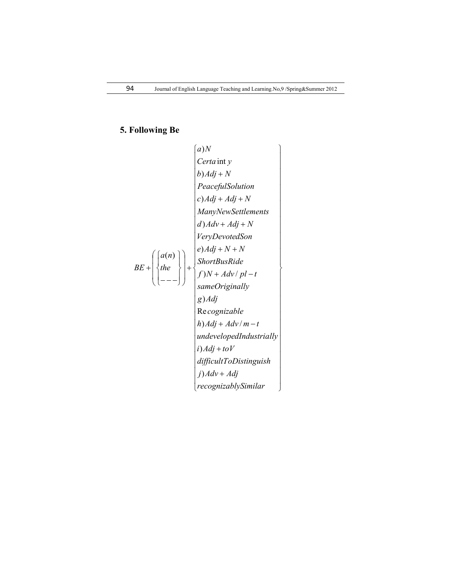# **5. Following Be**

| (a) N                                                                                                                                                                                                                                                                                                    |
|----------------------------------------------------------------------------------------------------------------------------------------------------------------------------------------------------------------------------------------------------------------------------------------------------------|
| $Certain$ $y$                                                                                                                                                                                                                                                                                            |
| $b) Adj + N$                                                                                                                                                                                                                                                                                             |
| $PeacefulSolution$                                                                                                                                                                                                                                                                                       |
| $c)Adj + Adj + N$                                                                                                                                                                                                                                                                                        |
| $ManyNewSettlements$                                                                                                                                                                                                                                                                                     |
| $d) Adv + Adj + N$                                                                                                                                                                                                                                                                                       |
| $VeryDevotedSon$                                                                                                                                                                                                                                                                                         |
| $BE + \begin{pmatrix} a(n) \\ the \end{pmatrix} + \begin{pmatrix} e) Adj + N + N \\ ShortBusRide \\ f)N + Adv / pl - t \\ same Originally \\ g)Adj \\ g)Adj \\ g)Adj \\ h)Adj + Adv / m - t \\ undevelopedIndustrially \\ i)Adj + toV \\ difficultToDistinguish \\ j) Adv + Adj \\ re cognizablySimilar$ |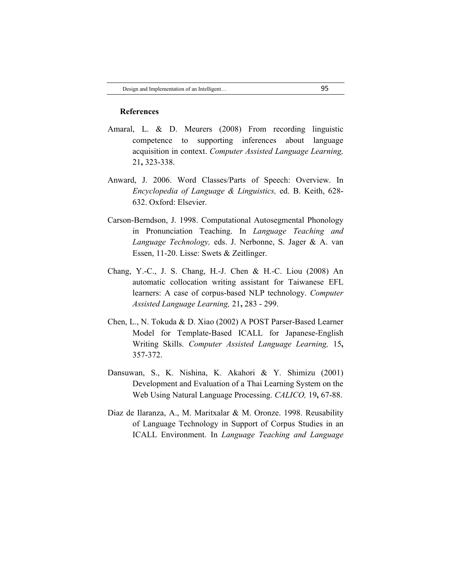#### **References**

- Amaral, L. & D. Meurers (2008) From recording linguistic competence to supporting inferences about language acquisition in context. *Computer Assisted Language Learning,* 21**,** 323-338.
- Anward, J. 2006. Word Classes/Parts of Speech: Overview. In *Encyclopedia of Language & Linguistics,* ed. B. Keith, 628- 632. Oxford: Elsevier.
- Carson-Berndson, J. 1998. Computational Autosegmental Phonology in Pronunciation Teaching. In *Language Teaching and Language Technology,* eds. J. Nerbonne, S. Jager & A. van Essen, 11-20. Lisse: Swets & Zeitlinger.
- Chang, Y.-C., J. S. Chang, H.-J. Chen & H.-C. Liou (2008) An automatic collocation writing assistant for Taiwanese EFL learners: A case of corpus-based NLP technology. *Computer Assisted Language Learning,* 21**,** 283 - 299.
- Chen, L., N. Tokuda & D. Xiao (2002) A POST Parser-Based Learner Model for Template-Based ICALL for Japanese-English Writing Skills. *Computer Assisted Language Learning,* 15**,** 357-372.
- Dansuwan, S., K. Nishina, K. Akahori & Y. Shimizu (2001) Development and Evaluation of a Thai Learning System on the Web Using Natural Language Processing. *CALICO,* 19**,** 67-88.
- Diaz de Ilaranza, A., M. Maritxalar & M. Oronze. 1998. Reusability of Language Technology in Support of Corpus Studies in an ICALL Environment. In *Language Teaching and Language*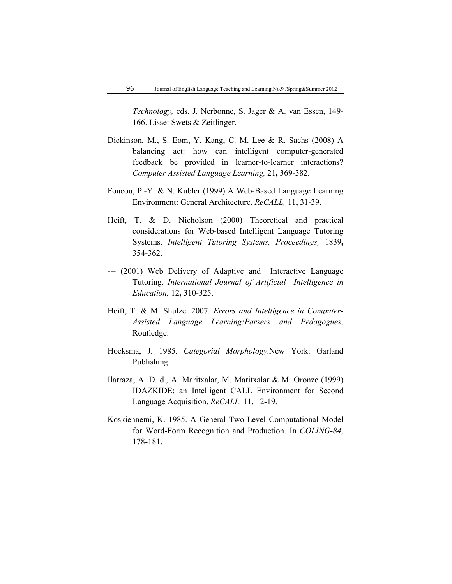*Technology,* eds. J. Nerbonne, S. Jager & A. van Essen, 149- 166. Lisse: Swets & Zeitlinger.

- Dickinson, M., S. Eom, Y. Kang, C. M. Lee & R. Sachs (2008) A balancing act: how can intelligent computer-generated feedback be provided in learner-to-learner interactions? *Computer Assisted Language Learning,* 21**,** 369-382.
- Foucou, P.-Y. & N. Kubler (1999) A Web-Based Language Learning Environment: General Architecture. *ReCALL,* 11**,** 31-39.
- Heift, T. & D. Nicholson (2000) Theoretical and practical considerations for Web-based Intelligent Language Tutoring Systems. *Intelligent Tutoring Systems, Proceedings,* 1839**,** 354-362.
- --- (2001) Web Delivery of Adaptive and Interactive Language Tutoring. *International Journal of Artificial Intelligence in Education,* 12**,** 310-325.
- Heift, T. & M. Shulze. 2007. *Errors and Intelligence in Computer-Assisted Language Learning:Parsers and Pedagogues*. Routledge.
- Hoeksma, J. 1985. *Categorial Morphology*.New York: Garland Publishing.
- Ilarraza, A. D. d., A. Maritxalar, M. Maritxalar & M. Oronze (1999) IDAZKIDE: an Intelligent CALL Environment for Second Language Acquisition. *ReCALL,* 11**,** 12-19.
- Koskiennemi, K. 1985. A General Two-Level Computational Model for Word-Form Recognition and Production. In *COLING-84*, 178-181.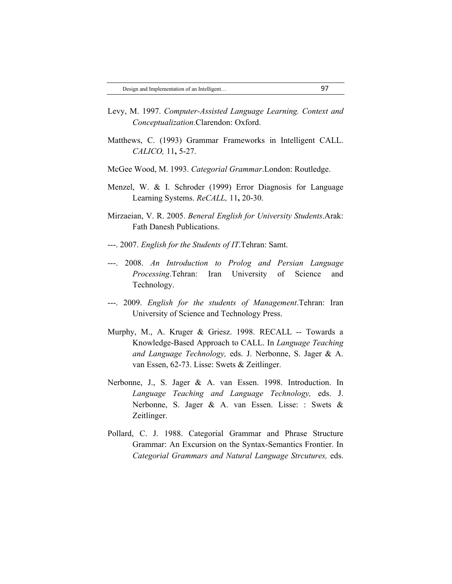- Levy, M. 1997. *Computer-Assisted Language Learning. Context and Conceptualization*.Clarendon: Oxford.
- Matthews, C. (1993) Grammar Frameworks in Intelligent CALL. *CALICO,* 11**,** 5-27.
- McGee Wood, M. 1993. *Categorial Grammar*.London: Routledge.
- Menzel, W. & I. Schroder (1999) Error Diagnosis for Language Learning Systems. *ReCALL,* 11**,** 20-30.
- Mirzaeian, V. R. 2005. *Beneral English for University Students*.Arak: Fath Danesh Publications.
- ---. 2007. *English for the Students of IT*.Tehran: Samt.
- ---. 2008. *An Introduction to Prolog and Persian Language Processing*.Tehran: Iran University of Science and Technology.
- ---. 2009. *English for the students of Management*.Tehran: Iran University of Science and Technology Press.
- Murphy, M., A. Kruger & Griesz. 1998. RECALL -- Towards a Knowledge-Based Approach to CALL. In *Language Teaching and Language Technology,* eds. J. Nerbonne, S. Jager & A. van Essen, 62-73. Lisse: Swets & Zeitlinger.
- Nerbonne, J., S. Jager & A. van Essen. 1998. Introduction. In *Language Teaching and Language Technology,* eds. J. Nerbonne, S. Jager & A. van Essen. Lisse: : Swets & Zeitlinger.
- Pollard, C. J. 1988. Categorial Grammar and Phrase Structure Grammar: An Excursion on the Syntax-Semantics Frontier. In *Categorial Grammars and Natural Language Strcutures,* eds.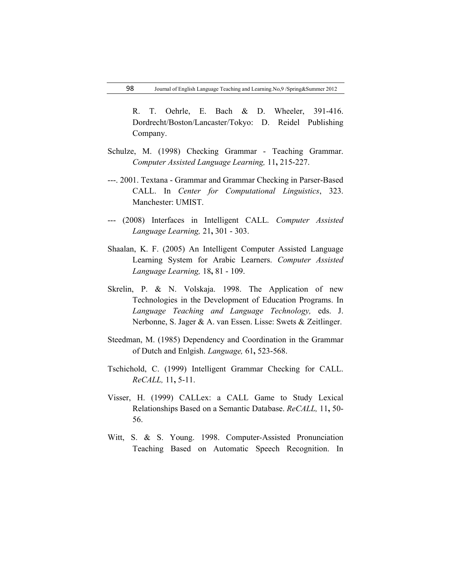R. T. Oehrle, E. Bach & D. Wheeler, 391-416. Dordrecht/Boston/Lancaster/Tokyo: D. Reidel Publishing Company.

- Schulze, M. (1998) Checking Grammar Teaching Grammar. *Computer Assisted Language Learning,* 11**,** 215-227.
- ---. 2001. Textana Grammar and Grammar Checking in Parser-Based CALL. In *Center for Computational Linguistics*, 323. Manchester: UMIST.
- --- (2008) Interfaces in Intelligent CALL. *Computer Assisted Language Learning,* 21**,** 301 - 303.
- Shaalan, K. F. (2005) An Intelligent Computer Assisted Language Learning System for Arabic Learners. *Computer Assisted Language Learning,* 18**,** 81 - 109.
- Skrelin, P. & N. Volskaja. 1998. The Application of new Technologies in the Development of Education Programs. In *Language Teaching and Language Technology,* eds. J. Nerbonne, S. Jager & A. van Essen. Lisse: Swets & Zeitlinger.
- Steedman, M. (1985) Dependency and Coordination in the Grammar of Dutch and Enlgish. *Language,* 61**,** 523-568.
- Tschichold, C. (1999) Intelligent Grammar Checking for CALL. *ReCALL,* 11**,** 5-11.
- Visser, H. (1999) CALLex: a CALL Game to Study Lexical Relationships Based on a Semantic Database. *ReCALL,* 11**,** 50- 56.
- Witt, S. & S. Young. 1998. Computer-Assisted Pronunciation Teaching Based on Automatic Speech Recognition. In